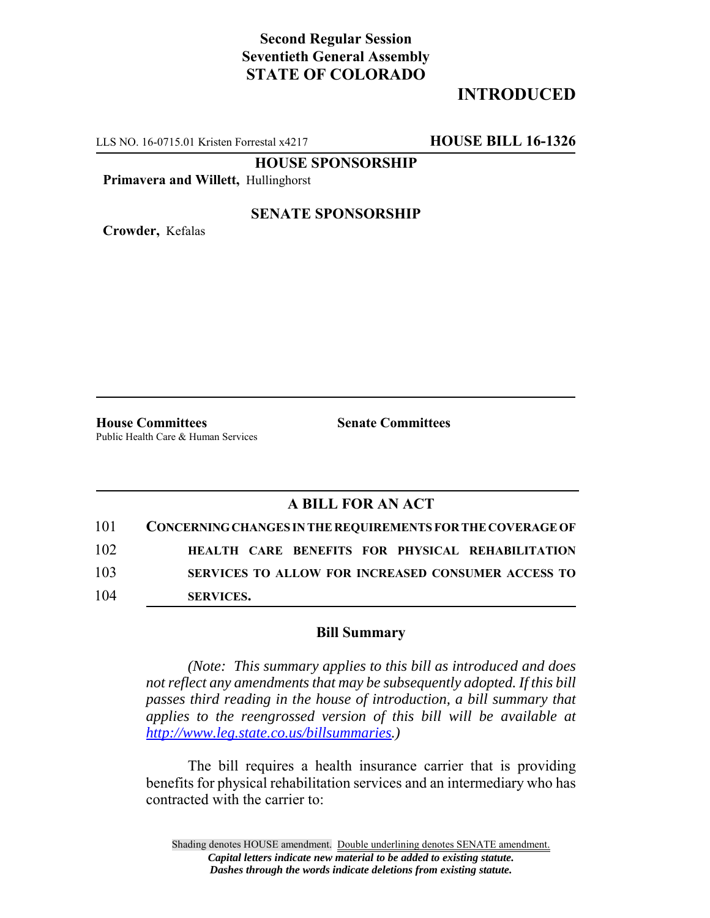## **Second Regular Session Seventieth General Assembly STATE OF COLORADO**

## **INTRODUCED**

LLS NO. 16-0715.01 Kristen Forrestal x4217 **HOUSE BILL 16-1326**

**HOUSE SPONSORSHIP**

**Primavera and Willett,** Hullinghorst

**SENATE SPONSORSHIP**

**Crowder,** Kefalas

**House Committees Senate Committees** Public Health Care & Human Services

## **A BILL FOR AN ACT**

| 101 | CONCERNING CHANGES IN THE REOUIREMENTS FOR THE COVERAGE OF |
|-----|------------------------------------------------------------|
| 102 | HEALTH CARE BENEFITS FOR PHYSICAL REHABILITATION           |
| 103 | <b>SERVICES TO ALLOW FOR INCREASED CONSUMER ACCESS TO</b>  |
| 104 | <b>SERVICES.</b>                                           |

## **Bill Summary**

*(Note: This summary applies to this bill as introduced and does not reflect any amendments that may be subsequently adopted. If this bill passes third reading in the house of introduction, a bill summary that applies to the reengrossed version of this bill will be available at http://www.leg.state.co.us/billsummaries.)*

The bill requires a health insurance carrier that is providing benefits for physical rehabilitation services and an intermediary who has contracted with the carrier to: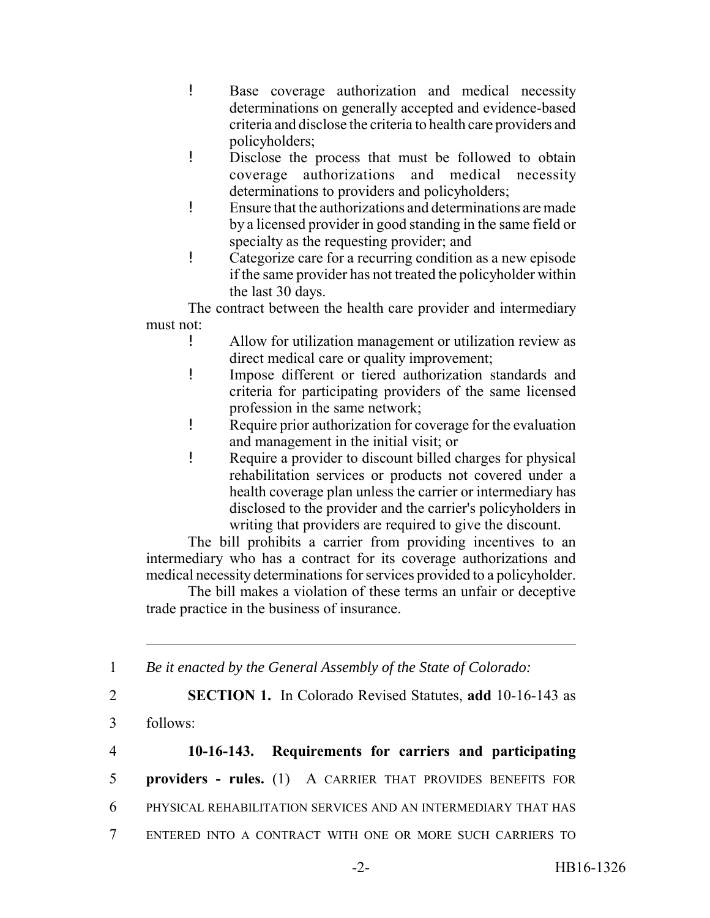- ! Base coverage authorization and medical necessity determinations on generally accepted and evidence-based criteria and disclose the criteria to health care providers and policyholders;
- ! Disclose the process that must be followed to obtain coverage authorizations and medical necessity determinations to providers and policyholders;
- ! Ensure that the authorizations and determinations are made by a licensed provider in good standing in the same field or specialty as the requesting provider; and
- ! Categorize care for a recurring condition as a new episode if the same provider has not treated the policyholder within the last 30 days.

The contract between the health care provider and intermediary must not:

- ! Allow for utilization management or utilization review as direct medical care or quality improvement;
- ! Impose different or tiered authorization standards and criteria for participating providers of the same licensed profession in the same network;
- ! Require prior authorization for coverage for the evaluation and management in the initial visit; or
- ! Require a provider to discount billed charges for physical rehabilitation services or products not covered under a health coverage plan unless the carrier or intermediary has disclosed to the provider and the carrier's policyholders in writing that providers are required to give the discount.

The bill prohibits a carrier from providing incentives to an intermediary who has a contract for its coverage authorizations and medical necessity determinations for services provided to a policyholder.

The bill makes a violation of these terms an unfair or deceptive trade practice in the business of insurance.

1 *Be it enacted by the General Assembly of the State of Colorado:*

3 follows:

 **10-16-143. Requirements for carriers and participating providers - rules.** (1) A CARRIER THAT PROVIDES BENEFITS FOR PHYSICAL REHABILITATION SERVICES AND AN INTERMEDIARY THAT HAS ENTERED INTO A CONTRACT WITH ONE OR MORE SUCH CARRIERS TO

2 **SECTION 1.** In Colorado Revised Statutes, **add** 10-16-143 as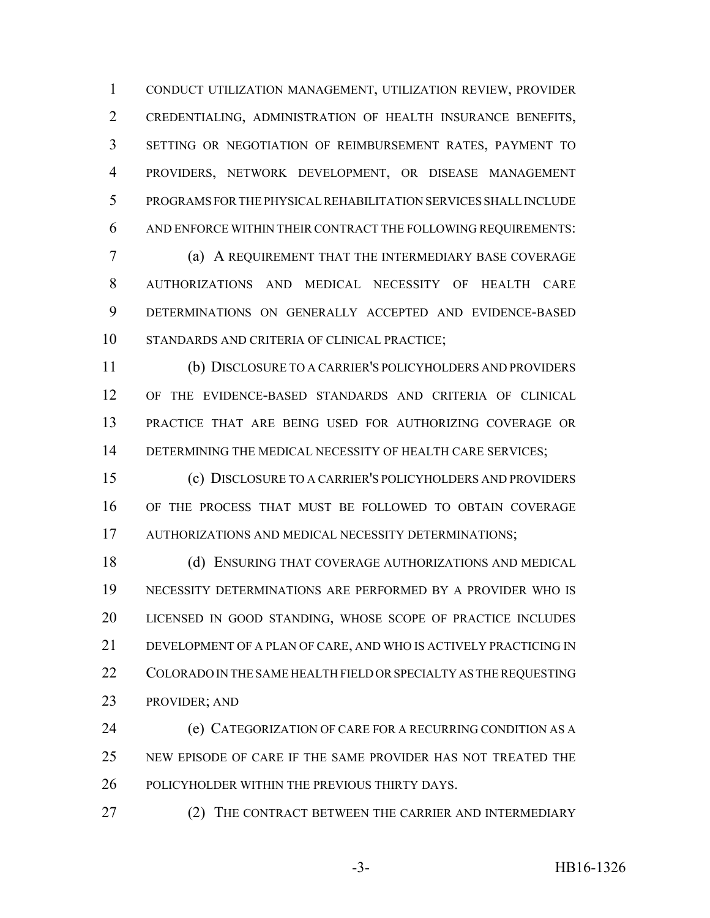CONDUCT UTILIZATION MANAGEMENT, UTILIZATION REVIEW, PROVIDER CREDENTIALING, ADMINISTRATION OF HEALTH INSURANCE BENEFITS, SETTING OR NEGOTIATION OF REIMBURSEMENT RATES, PAYMENT TO PROVIDERS, NETWORK DEVELOPMENT, OR DISEASE MANAGEMENT PROGRAMS FOR THE PHYSICAL REHABILITATION SERVICES SHALL INCLUDE AND ENFORCE WITHIN THEIR CONTRACT THE FOLLOWING REQUIREMENTS:

 (a) A REQUIREMENT THAT THE INTERMEDIARY BASE COVERAGE AUTHORIZATIONS AND MEDICAL NECESSITY OF HEALTH CARE DETERMINATIONS ON GENERALLY ACCEPTED AND EVIDENCE-BASED STANDARDS AND CRITERIA OF CLINICAL PRACTICE;

 (b) DISCLOSURE TO A CARRIER'S POLICYHOLDERS AND PROVIDERS OF THE EVIDENCE-BASED STANDARDS AND CRITERIA OF CLINICAL PRACTICE THAT ARE BEING USED FOR AUTHORIZING COVERAGE OR 14 DETERMINING THE MEDICAL NECESSITY OF HEALTH CARE SERVICES;

 (c) DISCLOSURE TO A CARRIER'S POLICYHOLDERS AND PROVIDERS OF THE PROCESS THAT MUST BE FOLLOWED TO OBTAIN COVERAGE AUTHORIZATIONS AND MEDICAL NECESSITY DETERMINATIONS;

18 (d) ENSURING THAT COVERAGE AUTHORIZATIONS AND MEDICAL NECESSITY DETERMINATIONS ARE PERFORMED BY A PROVIDER WHO IS LICENSED IN GOOD STANDING, WHOSE SCOPE OF PRACTICE INCLUDES DEVELOPMENT OF A PLAN OF CARE, AND WHO IS ACTIVELY PRACTICING IN 22 COLORADO IN THE SAME HEALTH FIELD OR SPECIALTY AS THE REQUESTING PROVIDER; AND

 (e) CATEGORIZATION OF CARE FOR A RECURRING CONDITION AS A NEW EPISODE OF CARE IF THE SAME PROVIDER HAS NOT TREATED THE POLICYHOLDER WITHIN THE PREVIOUS THIRTY DAYS.

27 (2) THE CONTRACT BETWEEN THE CARRIER AND INTERMEDIARY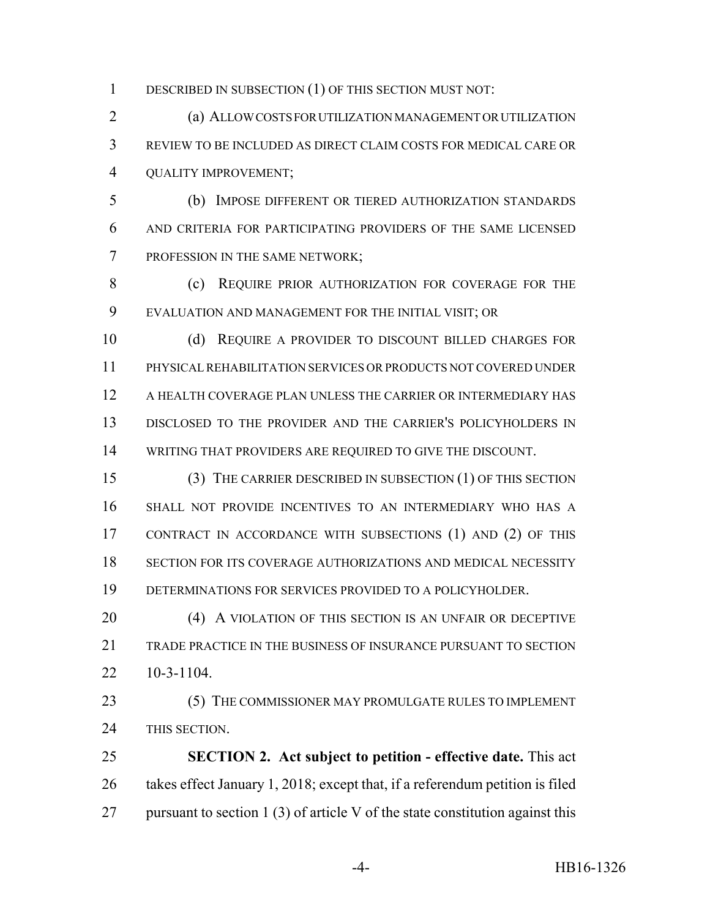1 DESCRIBED IN SUBSECTION (1) OF THIS SECTION MUST NOT:

 (a) ALLOW COSTS FOR UTILIZATION MANAGEMENT OR UTILIZATION REVIEW TO BE INCLUDED AS DIRECT CLAIM COSTS FOR MEDICAL CARE OR QUALITY IMPROVEMENT;

 (b) IMPOSE DIFFERENT OR TIERED AUTHORIZATION STANDARDS AND CRITERIA FOR PARTICIPATING PROVIDERS OF THE SAME LICENSED PROFESSION IN THE SAME NETWORK;

8 (c) REQUIRE PRIOR AUTHORIZATION FOR COVERAGE FOR THE EVALUATION AND MANAGEMENT FOR THE INITIAL VISIT; OR

 (d) REQUIRE A PROVIDER TO DISCOUNT BILLED CHARGES FOR PHYSICAL REHABILITATION SERVICES OR PRODUCTS NOT COVERED UNDER A HEALTH COVERAGE PLAN UNLESS THE CARRIER OR INTERMEDIARY HAS DISCLOSED TO THE PROVIDER AND THE CARRIER'S POLICYHOLDERS IN WRITING THAT PROVIDERS ARE REQUIRED TO GIVE THE DISCOUNT.

 (3) THE CARRIER DESCRIBED IN SUBSECTION (1) OF THIS SECTION SHALL NOT PROVIDE INCENTIVES TO AN INTERMEDIARY WHO HAS A CONTRACT IN ACCORDANCE WITH SUBSECTIONS (1) AND (2) OF THIS SECTION FOR ITS COVERAGE AUTHORIZATIONS AND MEDICAL NECESSITY DETERMINATIONS FOR SERVICES PROVIDED TO A POLICYHOLDER.

20 (4) A VIOLATION OF THIS SECTION IS AN UNFAIR OR DECEPTIVE TRADE PRACTICE IN THE BUSINESS OF INSURANCE PURSUANT TO SECTION 10-3-1104.

23 (5) THE COMMISSIONER MAY PROMULGATE RULES TO IMPLEMENT THIS SECTION.

 **SECTION 2. Act subject to petition - effective date.** This act takes effect January 1, 2018; except that, if a referendum petition is filed 27 pursuant to section 1 (3) of article V of the state constitution against this